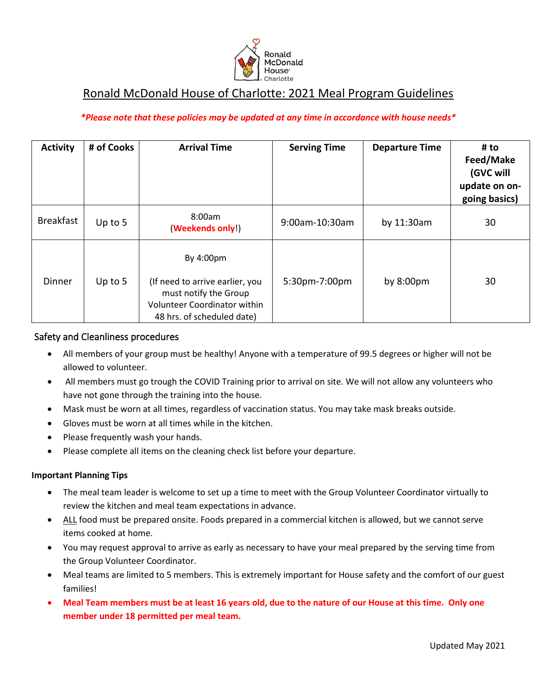

# Ronald McDonald House of Charlotte: 2021 Meal Program Guidelines

## *\*Please note that these policies may be updated at any time in accordance with house needs\**

| <b>Activity</b>  | # of Cooks | <b>Arrival Time</b>                                                                                                                        | <b>Serving Time</b> | <b>Departure Time</b> | # to<br>Feed/Make<br>(GVC will<br>update on on-<br>going basics) |
|------------------|------------|--------------------------------------------------------------------------------------------------------------------------------------------|---------------------|-----------------------|------------------------------------------------------------------|
| <b>Breakfast</b> | Up to 5    | 8:00am<br>(Weekends only!)                                                                                                                 | 9:00am-10:30am      | by 11:30am            | 30                                                               |
| Dinner           | Up to $5$  | By 4:00pm<br>(If need to arrive earlier, you<br>must notify the Group<br><b>Volunteer Coordinator within</b><br>48 hrs. of scheduled date) | 5:30pm-7:00pm       | by $8:00 \text{pm}$   | 30                                                               |

### Safety and Cleanliness procedures

- All members of your group must be healthy! Anyone with a temperature of 99.5 degrees or higher will not be allowed to volunteer.
- All members must go trough the COVID Training prior to arrival on site. We will not allow any volunteers who have not gone through the training into the house.
- Mask must be worn at all times, regardless of vaccination status. You may take mask breaks outside.
- Gloves must be worn at all times while in the kitchen.
- Please frequently wash your hands.
- Please complete all items on the cleaning check list before your departure.

#### **Important Planning Tips**

- The meal team leader is welcome to set up a time to meet with the Group Volunteer Coordinator virtually to review the kitchen and meal team expectations in advance.
- ALL food must be prepared onsite. Foods prepared in a commercial kitchen is allowed, but we cannot serve items cooked at home.
- You may request approval to arrive as early as necessary to have your meal prepared by the serving time from the Group Volunteer Coordinator.
- Meal teams are limited to 5 members. This is extremely important for House safety and the comfort of our guest families!
- **Meal Team members must be at least 16 years old, due to the nature of our House at this time. Only one member under 18 permitted per meal team.**